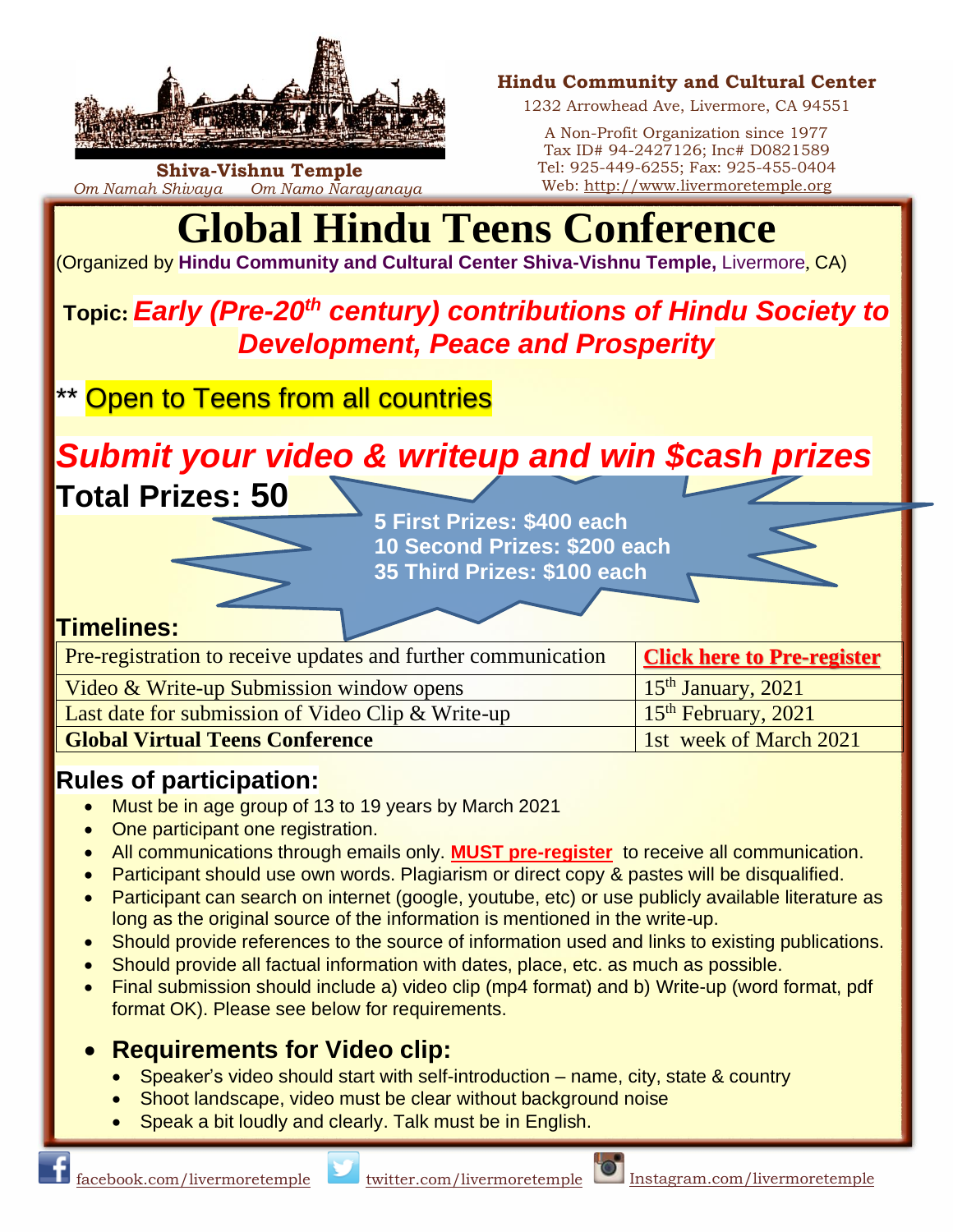

**Shiva-Vishnu Temple** *Om Namah Shivaya Om Namo Narayanaya*

#### **Hindu Community and Cultural Center**

1232 Arrowhead Ave, Livermore, CA 94551

A Non-Profit Organization since 1977 Tax ID# 94-2427126; Inc# D0821589 Tel: 925-449-6255; Fax: 925-455-0404 Web: [http://www.livermoretemple.org](http://www.livermoretemple.org/)

# **Global Hindu Teens Conference**

(Organized by **Hindu Community and Cultural Center Shiva-Vishnu Temple,** Livermore, CA)

# **Topic:** *Early (Pre-20th century) contributions of Hindu Society to Development, Peace and Prosperity*

\*\* Open to Teens from all countries

*Submit your video & writeup and win \$cash prizes*

**Total Prizes: 50**

**5 First Prizes: \$400 each 10 Second Prizes: \$200 each 35 Third Prizes: \$100 each**

### **Timelines:**

| <b>Pre-registration to receive updates and further communication</b> | <b>Click here to Pre-register</b> |
|----------------------------------------------------------------------|-----------------------------------|
| Video & Write-up Submission window opens                             | $15th$ January, 2021              |
| Last date for submission of Video Clip & Write-up                    | 15 <sup>th</sup> February, 2021   |
| <b>Global Virtual Teens Conference</b>                               | 1st week of March 2021            |

# **Rules of participation:**

- Must be in age group of 13 to 19 years by March 2021
- One participant one registration.
- All communications through emails only. **[MUST pre-register](https://forms.gle/58rwkKjPiomumm5Q8)** to receive all communication.
- Participant should use own words. Plagiarism or direct copy & pastes will be disqualified.
- Participant can search on internet (google, youtube, etc) or use publicly available literature as long as the original source of the information is mentioned in the write-up.
- Should provide references to the source of information used and links to existing publications.
- Should provide all factual information with dates, place, etc. as much as possible.
- Final submission should include a) video clip (mp4 format) and b) Write-up (word format, pdf format OK). Please see below for requirements.

## • **Requirements for Video clip:**

- Speaker's video should start with self-introduction name, city, state & country
- Shoot landscape, video must be clear without background noise
- Speak a bit loudly and clearly. Talk must be in English.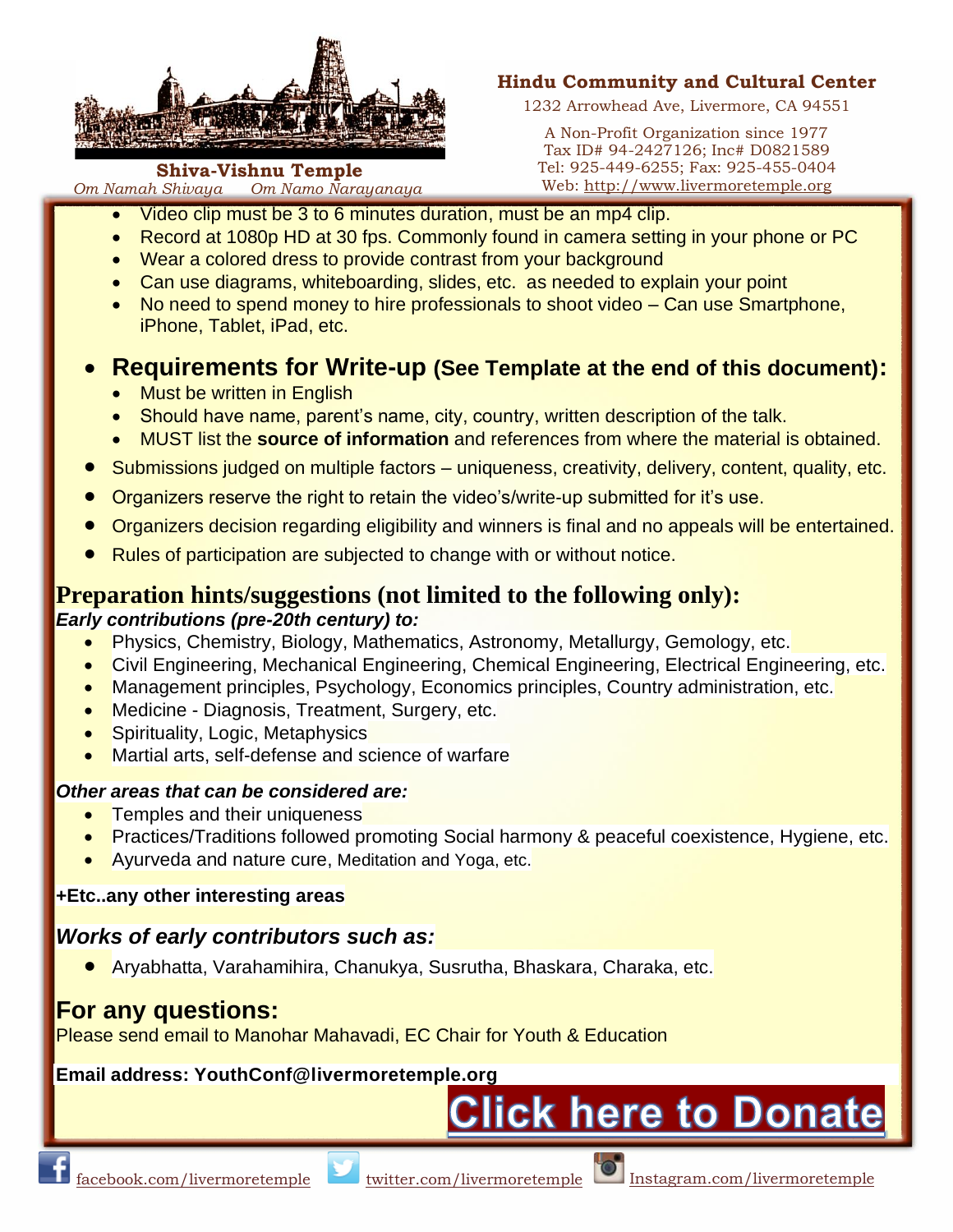

**Shiva-Vishnu Temple** *Om Namah Shivaya Om Namo Narayanaya*

#### **Hindu Community and Cultural Center**

1232 Arrowhead Ave, Livermore, CA 94551

A Non-Profit Organization since 1977 Tax ID# 94-2427126; Inc# D0821589 Tel: 925-449-6255; Fax: 925-455-0404 Web: [http://www.livermoretemple.org](http://www.livermoretemple.org/)

- Video clip must be 3 to 6 minutes duration, must be an mp4 clip.
	- Record at 1080p HD at 30 fps. Commonly found in camera setting in your phone or PC
	- Wear a colored dress to provide contrast from your background
	- Can use diagrams, whiteboarding, slides, etc. as needed to explain your point
	- No need to spend money to hire professionals to shoot video Can use Smartphone, iPhone, Tablet, iPad, etc.

## • **Requirements for Write-up (See Template at the end of this document):**

- Must be written in English
- Should have name, parent's name, city, country, written description of the talk.
- MUST list the **source of information** and references from where the material is obtained.
- Submissions judged on multiple factors uniqueness, creativity, delivery, content, quality, etc.
- Organizers reserve the right to retain the video's/write-up submitted for it's use.
- Organizers decision regarding eligibility and winners is final and no appeals will be entertained.
- Rules of participation are subjected to change with or without notice.

#### **Preparation hints/suggestions (not limited to the following only):** *Early contributions (pre-20th century) to:*

- **Physics, Chemistry, Biology, Mathematics, Astronomy, Metallurgy, Gemology, etc.**
- Civil Engineering, Mechanical Engineering, Chemical Engineering, Electrical Engineering, etc.
- Management principles, Psychology, Economics principles, Country administration, etc.
- Medicine Diagnosis, Treatment, Surgery, etc.
- Spirituality, Logic, Metaphysics
- Martial arts, self-defense and science of warfare

#### *Other areas that can be considered are:*

- Temples and their uniqueness
- Practices/Traditions followed promoting Social harmony & peaceful coexistence, Hygiene, etc.
- Ayurveda and nature cure, Meditation and Yoga, etc.

#### **+Etc..any other interesting areas**

### *Works of early contributors such as:*

● Aryabhatta, Varahamihira, Chanukya, Susrutha, Bhaskara, Charaka, etc.

## **For any questions:**

Please send email to Manohar Mahavadi, EC Chair for Youth & Education

#### **Email address: YouthConf@livermoretemp[le.org](https://www.livermoretemple.org/hints/content/asp/login.asp?menuID=0&subMenuID=25&donationID=YE57I01)**